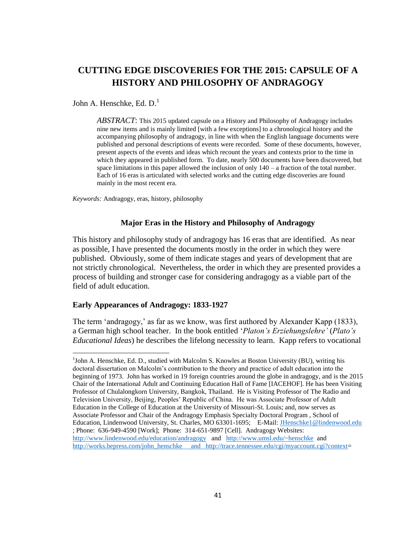# **CUTTING EDGE DISCOVERIES FOR THE 2015: CAPSULE OF A HISTORY AND PHILOSOPHY OF ANDRAGOGY**

John A. Henschke, Ed.  $D<sup>1</sup>$ 

*ABSTRACT*: This 2015 updated capsule on a History and Philosophy of Andragogy includes nine new items and is mainly limited [with a few exceptions] to a chronological history and the accompanying philosophy of andragogy, in line with when the English language documents were published and personal descriptions of events were recorded. Some of these documents, however, present aspects of the events and ideas which recount the years and contexts prior to the time in which they appeared in published form. To date, nearly 500 documents have been discovered, but space limitations in this paper allowed the inclusion of only  $140 - a$  fraction of the total number. Each of 16 eras is articulated with selected works and the cutting edge discoveries are found mainly in the most recent era.

*Keywords:* Andragogy, eras, history, philosophy

### **Major Eras in the History and Philosophy of Andragogy**

This history and philosophy study of andragogy has 16 eras that are identified. As near as possible, I have presented the documents mostly in the order in which they were published. Obviously, some of them indicate stages and years of development that are not strictly chronological. Nevertheless, the order in which they are presented provides a process of building and stronger case for considering andragogy as a viable part of the field of adult education.

#### **Early Appearances of Andragogy: 1833-1927**

 $\overline{a}$ 

The term 'andragogy,' as far as we know, was first authored by Alexander Kapp (1833), a German high school teacher. In the book entitled '*Platon's Erziehungslehre'* (*Plato's Educational Ideas*) he describes the lifelong necessity to learn. Kapp refers to vocational

<sup>&</sup>lt;sup>1</sup>John A. Henschke, Ed. D., studied with Malcolm S. Knowles at Boston University (BU), writing his doctoral dissertation on Malcolm's contribution to the theory and practice of adult education into the beginning of 1973. John has worked in 19 foreign countries around the globe in andragogy, and is the 2015 Chair of the International Adult and Continuing Education Hall of Fame [IACEHOF]. He has been Visiting Professor of Chulalongkorn University, Bangkok, Thailand. He is Visiting Professor of The Radio and Television University, Beijing, Peoples' Republic of China. He was Associate Professor of Adult Education in the College of Education at the University of Missouri-St. Louis; and, now serves as Associate Professor and Chair of the Andragogy Emphasis Specialty Doctoral Program , School of Education, Lindenwood University, St. Charles, MO 63301-1695; E-Mail: [JHenschke1@lindenwood.edu](mailto:JHenschke1@lindenwood.edu) ; Phone: 636-949-4590 [Work]; Phone: 314-651-9897 [Cell]. Andragogy Websites: <http://www.lindenwood.edu/education/andragogy>and <http://www.umsl.edu/~henschke>and [http://works.bepress.com/john\\_henschke](https://lumail.lindenwood.edu/owa/redir.aspx?C=MfYheQ3Gl0qTY2RU2NIGBW8NO0jJxtIIk53weproJ_iiEe_jpWo0XUerfzzlpmrG_cShoSTr13E.&URL=http%3a%2f%2fworks.bepress.com%2fjohn_henschke) and [http://trace.tennessee.edu/cgi/myaccount.cgi?context=](http://trace.tennessee.edu/cgi/myaccount.cgi?context)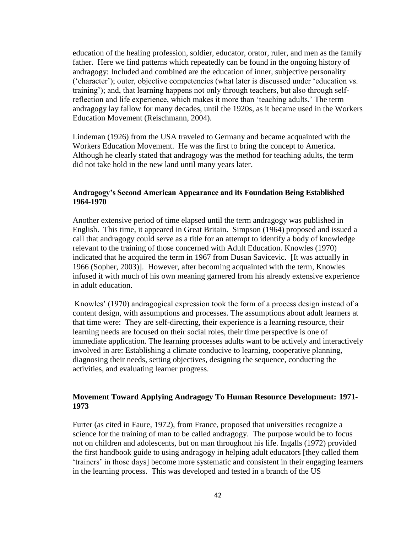education of the healing profession, soldier, educator, orator, ruler, and men as the family father. Here we find patterns which repeatedly can be found in the ongoing history of andragogy: Included and combined are the education of inner, subjective personality ('character'); outer, objective competencies (what later is discussed under 'education vs. training'); and, that learning happens not only through teachers, but also through selfreflection and life experience, which makes it more than 'teaching adults.' The term andragogy lay fallow for many decades, until the 1920s, as it became used in the Workers Education Movement (Reischmann, 2004).

Lindeman (1926) from the USA traveled to Germany and became acquainted with the Workers Education Movement. He was the first to bring the concept to America. Although he clearly stated that andragogy was the method for teaching adults, the term did not take hold in the new land until many years later.

#### **Andragogy's Second American Appearance and its Foundation Being Established 1964-1970**

Another extensive period of time elapsed until the term andragogy was published in English. This time, it appeared in Great Britain. Simpson (1964) proposed and issued a call that andragogy could serve as a title for an attempt to identify a body of knowledge relevant to the training of those concerned with Adult Education. Knowles (1970) indicated that he acquired the term in 1967 from Dusan Savicevic. [It was actually in 1966 (Sopher, 2003)]. However, after becoming acquainted with the term, Knowles infused it with much of his own meaning garnered from his already extensive experience in adult education.

Knowles' (1970) andragogical expression took the form of a process design instead of a content design, with assumptions and processes. The assumptions about adult learners at that time were: They are self-directing, their experience is a learning resource, their learning needs are focused on their social roles, their time perspective is one of immediate application. The learning processes adults want to be actively and interactively involved in are: Establishing a climate conducive to learning, cooperative planning, diagnosing their needs, setting objectives, designing the sequence, conducting the activities, and evaluating learner progress.

# **Movement Toward Applying Andragogy To Human Resource Development: 1971- 1973**

Furter (as cited in Faure, 1972), from France, proposed that universities recognize a science for the training of man to be called andragogy. The purpose would be to focus not on children and adolescents, but on man throughout his life. Ingalls (1972) provided the first handbook guide to using andragogy in helping adult educators [they called them 'trainers' in those days] become more systematic and consistent in their engaging learners in the learning process. This was developed and tested in a branch of the US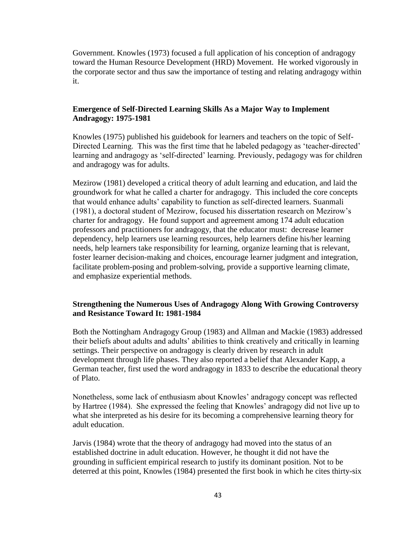Government. Knowles (1973) focused a full application of his conception of andragogy toward the Human Resource Development (HRD) Movement. He worked vigorously in the corporate sector and thus saw the importance of testing and relating andragogy within it.

# **Emergence of Self-Directed Learning Skills As a Major Way to Implement Andragogy: 1975-1981**

Knowles (1975) published his guidebook for learners and teachers on the topic of Self-Directed Learning. This was the first time that he labeled pedagogy as 'teacher-directed' learning and andragogy as 'self-directed' learning. Previously, pedagogy was for children and andragogy was for adults.

Mezirow (1981) developed a critical theory of adult learning and education, and laid the groundwork for what he called a charter for andragogy. This included the core concepts that would enhance adults' capability to function as self-directed learners. Suanmali (1981), a doctoral student of Mezirow, focused his dissertation research on Mezirow's charter for andragogy. He found support and agreement among 174 adult education professors and practitioners for andragogy, that the educator must: decrease learner dependency, help learners use learning resources, help learners define his/her learning needs, help learners take responsibility for learning, organize learning that is relevant, foster learner decision-making and choices, encourage learner judgment and integration, facilitate problem-posing and problem-solving, provide a supportive learning climate, and emphasize experiential methods.

# **Strengthening the Numerous Uses of Andragogy Along With Growing Controversy and Resistance Toward It: 1981-1984**

Both the Nottingham Andragogy Group (1983) and Allman and Mackie (1983) addressed their beliefs about adults and adults' abilities to think creatively and critically in learning settings. Their perspective on andragogy is clearly driven by research in adult development through life phases. They also reported a belief that Alexander Kapp, a German teacher, first used the word andragogy in 1833 to describe the educational theory of Plato.

Nonetheless, some lack of enthusiasm about Knowles' andragogy concept was reflected by Hartree (1984). She expressed the feeling that Knowles' andragogy did not live up to what she interpreted as his desire for its becoming a comprehensive learning theory for adult education.

Jarvis (1984) wrote that the theory of andragogy had moved into the status of an established doctrine in adult education. However, he thought it did not have the grounding in sufficient empirical research to justify its dominant position. Not to be deterred at this point, Knowles (1984) presented the first book in which he cites thirty-six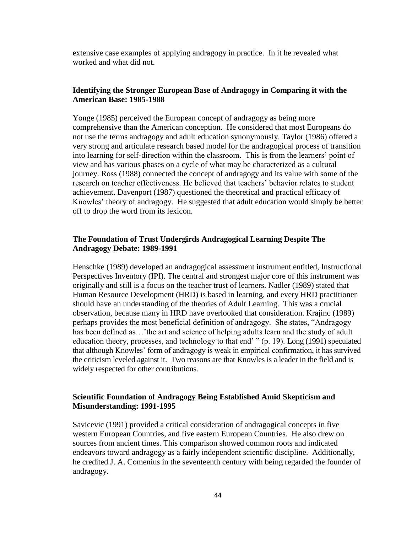extensive case examples of applying andragogy in practice. In it he revealed what worked and what did not.

# **Identifying the Stronger European Base of Andragogy in Comparing it with the American Base: 1985-1988**

Yonge (1985) perceived the European concept of andragogy as being more comprehensive than the American conception. He considered that most Europeans do not use the terms andragogy and adult education synonymously. Taylor (1986) offered a very strong and articulate research based model for the andragogical process of transition into learning for self-direction within the classroom. This is from the learners' point of view and has various phases on a cycle of what may be characterized as a cultural journey. Ross (1988) connected the concept of andragogy and its value with some of the research on teacher effectiveness. He believed that teachers' behavior relates to student achievement. Davenport (1987) questioned the theoretical and practical efficacy of Knowles' theory of andragogy. He suggested that adult education would simply be better off to drop the word from its lexicon.

### **The Foundation of Trust Undergirds Andragogical Learning Despite The Andragogy Debate: 1989-1991**

Henschke (1989) developed an andragogical assessment instrument entitled, Instructional Perspectives Inventory (IPI). The central and strongest major core of this instrument was originally and still is a focus on the teacher trust of learners. Nadler (1989) stated that Human Resource Development (HRD) is based in learning, and every HRD practitioner should have an understanding of the theories of Adult Learning. This was a crucial observation, because many in HRD have overlooked that consideration. Krajinc (1989) perhaps provides the most beneficial definition of andragogy. She states, "Andragogy has been defined as...'the art and science of helping adults learn and the study of adult education theory, processes, and technology to that end' " (p. 19). Long (1991) speculated that although Knowles' form of andragogy is weak in empirical confirmation, it has survived the criticism leveled against it. Two reasons are that Knowles is a leader in the field and is widely respected for other contributions.

## **Scientific Foundation of Andragogy Being Established Amid Skepticism and Misunderstanding: 1991-1995**

Savicevic (1991) provided a critical consideration of andragogical concepts in five western European Countries, and five eastern European Countries. He also drew on sources from ancient times. This comparison showed common roots and indicated endeavors toward andragogy as a fairly independent scientific discipline. Additionally, he credited J. A. Comenius in the seventeenth century with being regarded the founder of andragogy.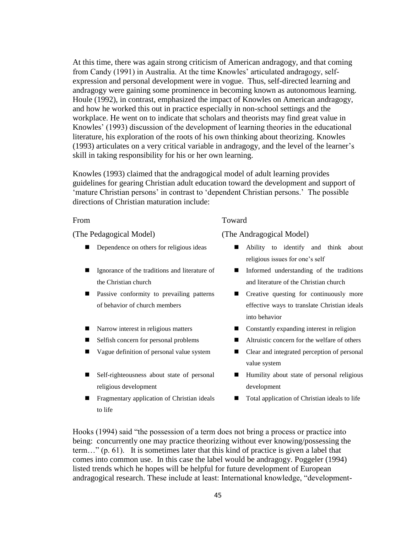At this time, there was again strong criticism of American andragogy, and that coming from Candy (1991) in Australia. At the time Knowles' articulated andragogy, selfexpression and personal development were in vogue. Thus, self-directed learning and andragogy were gaining some prominence in becoming known as autonomous learning. Houle (1992), in contrast, emphasized the impact of Knowles on American andragogy, and how he worked this out in practice especially in non-school settings and the workplace. He went on to indicate that scholars and theorists may find great value in Knowles' (1993) discussion of the development of learning theories in the educational literature, his exploration of the roots of his own thinking about theorizing. Knowles (1993) articulates on a very critical variable in andragogy, and the level of the learner's skill in taking responsibility for his or her own learning.

Knowles (1993) claimed that the andragogical model of adult learning provides guidelines for gearing Christian adult education toward the development and support of 'mature Christian persons' in contrast to 'dependent Christian persons.' The possible directions of Christian maturation include:

(The Pedagogical Model)

- Dependence on others for religious ideas
- Ignorance of the traditions and literature of the Christian church
- **Passive conformity to prevailing patterns** of behavior of church members
- 
- 
- 
- Self-righteousness about state of personal religious development
- Fragmentary application of Christian ideals to life

#### From Toward

(The Andragogical Model)

- Ability to identify and think about religious issues for one's self
- Informed understanding of the traditions and literature of the Christian church
- **Creative questing for continuously more** effective ways to translate Christian ideals into behavior
- Narrow interest in religious matters Constantly expanding interest in religion
- $\Box$  Selfish concern for personal problems  $\Box$  Altruistic concern for the welfare of others
- Vague definition of personal value system Clear and integrated perception of personal value system
	- $\blacksquare$  Humility about state of personal religious development
	- Total application of Christian ideals to life

Hooks (1994) said "the possession of a term does not bring a process or practice into being: concurrently one may practice theorizing without ever knowing/possessing the term…" (p. 61). It is sometimes later that this kind of practice is given a label that comes into common use. In this case the label would be andragogy. Poggeler (1994) listed trends which he hopes will be helpful for future development of European andragogical research. These include at least: International knowledge, "development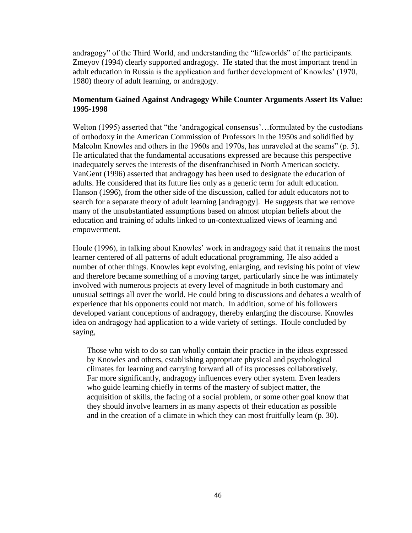andragogy" of the Third World, and understanding the "lifeworlds" of the participants. Zmeyov (1994) clearly supported andragogy. He stated that the most important trend in adult education in Russia is the application and further development of Knowles' (1970, 1980) theory of adult learning, or andragogy.

# **Momentum Gained Against Andragogy While Counter Arguments Assert Its Value: 1995-1998**

Welton (1995) asserted that "the 'andragogical consensus'...formulated by the custodians of orthodoxy in the American Commission of Professors in the 1950s and solidified by Malcolm Knowles and others in the 1960s and 1970s, has unraveled at the seams" (p. 5). He articulated that the fundamental accusations expressed are because this perspective inadequately serves the interests of the disenfranchised in North American society. VanGent (1996) asserted that andragogy has been used to designate the education of adults. He considered that its future lies only as a generic term for adult education. Hanson (1996), from the other side of the discussion, called for adult educators not to search for a separate theory of adult learning [andragogy]. He suggests that we remove many of the unsubstantiated assumptions based on almost utopian beliefs about the education and training of adults linked to un-contextualized views of learning and empowerment.

Houle (1996), in talking about Knowles' work in andragogy said that it remains the most learner centered of all patterns of adult educational programming. He also added a number of other things. Knowles kept evolving, enlarging, and revising his point of view and therefore became something of a moving target, particularly since he was intimately involved with numerous projects at every level of magnitude in both customary and unusual settings all over the world. He could bring to discussions and debates a wealth of experience that his opponents could not match. In addition, some of his followers developed variant conceptions of andragogy, thereby enlarging the discourse. Knowles idea on andragogy had application to a wide variety of settings. Houle concluded by saying,

Those who wish to do so can wholly contain their practice in the ideas expressed by Knowles and others, establishing appropriate physical and psychological climates for learning and carrying forward all of its processes collaboratively. Far more significantly, andragogy influences every other system. Even leaders who guide learning chiefly in terms of the mastery of subject matter, the acquisition of skills, the facing of a social problem, or some other goal know that they should involve learners in as many aspects of their education as possible and in the creation of a climate in which they can most fruitfully learn (p. 30).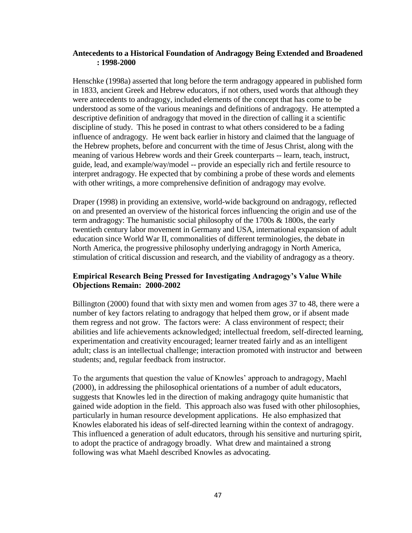# **Antecedents to a Historical Foundation of Andragogy Being Extended and Broadened : 1998-2000**

Henschke (1998a) asserted that long before the term andragogy appeared in published form in 1833, ancient Greek and Hebrew educators, if not others, used words that although they were antecedents to andragogy, included elements of the concept that has come to be understood as some of the various meanings and definitions of andragogy. He attempted a descriptive definition of andragogy that moved in the direction of calling it a scientific discipline of study. This he posed in contrast to what others considered to be a fading influence of andragogy. He went back earlier in history and claimed that the language of the Hebrew prophets, before and concurrent with the time of Jesus Christ, along with the meaning of various Hebrew words and their Greek counterparts -- learn, teach, instruct, guide, lead, and example/way/model -- provide an especially rich and fertile resource to interpret andragogy. He expected that by combining a probe of these words and elements with other writings, a more comprehensive definition of andragogy may evolve.

Draper (1998) in providing an extensive, world-wide background on andragogy, reflected on and presented an overview of the historical forces influencing the origin and use of the term andragogy: The humanistic social philosophy of the 1700s & 1800s, the early twentieth century labor movement in Germany and USA, international expansion of adult education since World War II, commonalities of different terminologies, the debate in North America, the progressive philosophy underlying andragogy in North America, stimulation of critical discussion and research, and the viability of andragogy as a theory.

# **Empirical Research Being Pressed for Investigating Andragogy's Value While Objections Remain: 2000-2002**

Billington (2000) found that with sixty men and women from ages 37 to 48, there were a number of key factors relating to andragogy that helped them grow, or if absent made them regress and not grow. The factors were: A class environment of respect; their abilities and life achievements acknowledged; intellectual freedom, self-directed learning, experimentation and creativity encouraged; learner treated fairly and as an intelligent adult; class is an intellectual challenge; interaction promoted with instructor and between students; and, regular feedback from instructor.

To the arguments that question the value of Knowles' approach to andragogy, Maehl (2000), in addressing the philosophical orientations of a number of adult educators, suggests that Knowles led in the direction of making andragogy quite humanistic that gained wide adoption in the field. This approach also was fused with other philosophies, particularly in human resource development applications. He also emphasized that Knowles elaborated his ideas of self-directed learning within the context of andragogy. This influenced a generation of adult educators, through his sensitive and nurturing spirit, to adopt the practice of andragogy broadly. What drew and maintained a strong following was what Maehl described Knowles as advocating.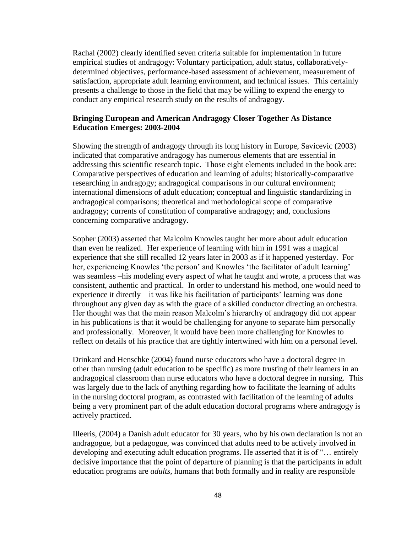Rachal (2002) clearly identified seven criteria suitable for implementation in future empirical studies of andragogy: Voluntary participation, adult status, collaborativelydetermined objectives, performance-based assessment of achievement, measurement of satisfaction, appropriate adult learning environment, and technical issues. This certainly presents a challenge to those in the field that may be willing to expend the energy to conduct any empirical research study on the results of andragogy.

# **Bringing European and American Andragogy Closer Together As Distance Education Emerges: 2003-2004**

Showing the strength of andragogy through its long history in Europe, Savicevic (2003) indicated that comparative andragogy has numerous elements that are essential in addressing this scientific research topic. Those eight elements included in the book are: Comparative perspectives of education and learning of adults; historically-comparative researching in andragogy; andragogical comparisons in our cultural environment; international dimensions of adult education; conceptual and linguistic standardizing in andragogical comparisons; theoretical and methodological scope of comparative andragogy; currents of constitution of comparative andragogy; and, conclusions concerning comparative andragogy.

Sopher (2003) asserted that Malcolm Knowles taught her more about adult education than even he realized. Her experience of learning with him in 1991 was a magical experience that she still recalled 12 years later in 2003 as if it happened yesterday. For her, experiencing Knowles 'the person' and Knowles 'the facilitator of adult learning' was seamless –his modeling every aspect of what he taught and wrote, a process that was consistent, authentic and practical. In order to understand his method, one would need to experience it directly – it was like his facilitation of participants' learning was done throughout any given day as with the grace of a skilled conductor directing an orchestra. Her thought was that the main reason Malcolm's hierarchy of andragogy did not appear in his publications is that it would be challenging for anyone to separate him personally and professionally. Moreover, it would have been more challenging for Knowles to reflect on details of his practice that are tightly intertwined with him on a personal level.

Drinkard and Henschke (2004) found nurse educators who have a doctoral degree in other than nursing (adult education to be specific) as more trusting of their learners in an andragogical classroom than nurse educators who have a doctoral degree in nursing. This was largely due to the lack of anything regarding how to facilitate the learning of adults in the nursing doctoral program, as contrasted with facilitation of the learning of adults being a very prominent part of the adult education doctoral programs where andragogy is actively practiced.

Illeeris, (2004) a Danish adult educator for 30 years, who by his own declaration is not an andragogue, but a pedagogue, was convinced that adults need to be actively involved in developing and executing adult education programs. He asserted that it is of "… entirely decisive importance that the point of departure of planning is that the participants in adult education programs are *adults*, humans that both formally and in reality are responsible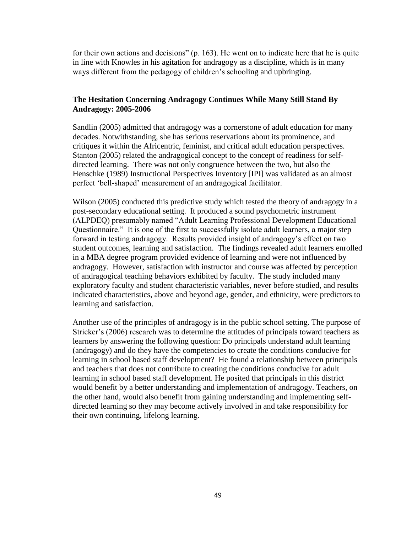for their own actions and decisions" (p. 163). He went on to indicate here that he is quite in line with Knowles in his agitation for andragogy as a discipline, which is in many ways different from the pedagogy of children's schooling and upbringing.

# **The Hesitation Concerning Andragogy Continues While Many Still Stand By Andragogy: 2005-2006**

Sandlin (2005) admitted that andragogy was a cornerstone of adult education for many decades. Notwithstanding, she has serious reservations about its prominence, and critiques it within the Africentric, feminist, and critical adult education perspectives. Stanton (2005) related the andragogical concept to the concept of readiness for selfdirected learning. There was not only congruence between the two, but also the Henschke (1989) Instructional Perspectives Inventory [IPI] was validated as an almost perfect 'bell-shaped' measurement of an andragogical facilitator.

Wilson (2005) conducted this predictive study which tested the theory of andragogy in a post-secondary educational setting. It produced a sound psychometric instrument (ALPDEQ) presumably named "Adult Learning Professional Development Educational Questionnaire." It is one of the first to successfully isolate adult learners, a major step forward in testing andragogy. Results provided insight of andragogy's effect on two student outcomes, learning and satisfaction. The findings revealed adult learners enrolled in a MBA degree program provided evidence of learning and were not influenced by andragogy. However, satisfaction with instructor and course was affected by perception of andragogical teaching behaviors exhibited by faculty. The study included many exploratory faculty and student characteristic variables, never before studied, and results indicated characteristics, above and beyond age, gender, and ethnicity, were predictors to learning and satisfaction.

Another use of the principles of andragogy is in the public school setting. The purpose of Stricker's (2006) research was to determine the attitudes of principals toward teachers as learners by answering the following question: Do principals understand adult learning (andragogy) and do they have the competencies to create the conditions conducive for learning in school based staff development? He found a relationship between principals and teachers that does not contribute to creating the conditions conducive for adult learning in school based staff development. He posited that principals in this district would benefit by a better understanding and implementation of andragogy. Teachers, on the other hand, would also benefit from gaining understanding and implementing selfdirected learning so they may become actively involved in and take responsibility for their own continuing, lifelong learning.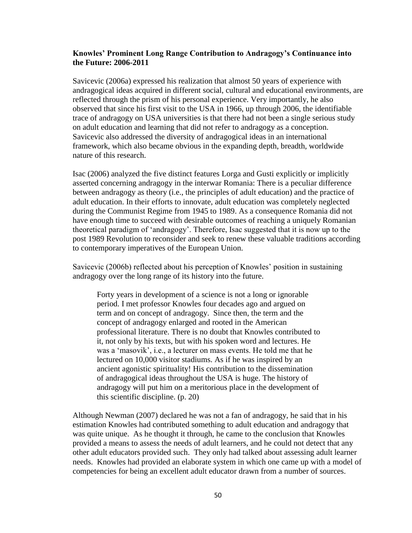### **Knowles' Prominent Long Range Contribution to Andragogy's Continuance into the Future: 2006-2011**

Savicevic (2006a) expressed his realization that almost 50 years of experience with andragogical ideas acquired in different social, cultural and educational environments, are reflected through the prism of his personal experience. Very importantly, he also observed that since his first visit to the USA in 1966, up through 2006, the identifiable trace of andragogy on USA universities is that there had not been a single serious study on adult education and learning that did not refer to andragogy as a conception. Savicevic also addressed the diversity of andragogical ideas in an international framework, which also became obvious in the expanding depth, breadth, worldwide nature of this research.

Isac (2006) analyzed the five distinct features Lorga and Gusti explicitly or implicitly asserted concerning andragogy in the interwar Romania: There is a peculiar difference between andragogy as theory (i.e., the principles of adult education) and the practice of adult education. In their efforts to innovate, adult education was completely neglected during the Communist Regime from 1945 to 1989. As a consequence Romania did not have enough time to succeed with desirable outcomes of reaching a uniquely Romanian theoretical paradigm of 'andragogy'. Therefore, Isac suggested that it is now up to the post 1989 Revolution to reconsider and seek to renew these valuable traditions according to contemporary imperatives of the European Union.

Savicevic (2006b) reflected about his perception of Knowles' position in sustaining andragogy over the long range of its history into the future.

Forty years in development of a science is not a long or ignorable period. I met professor Knowles four decades ago and argued on term and on concept of andragogy. Since then, the term and the concept of andragogy enlarged and rooted in the American professional literature. There is no doubt that Knowles contributed to it, not only by his texts, but with his spoken word and lectures. He was a 'masovik', i.e., a lecturer on mass events. He told me that he lectured on 10,000 visitor stadiums. As if he was inspired by an ancient agonistic spirituality! His contribution to the dissemination of andragogical ideas throughout the USA is huge. The history of andragogy will put him on a meritorious place in the development of this scientific discipline. (p. 20)

Although Newman (2007) declared he was not a fan of andragogy, he said that in his estimation Knowles had contributed something to adult education and andragogy that was quite unique. As he thought it through, he came to the conclusion that Knowles provided a means to assess the needs of adult learners, and he could not detect that any other adult educators provided such. They only had talked about assessing adult learner needs. Knowles had provided an elaborate system in which one came up with a model of competencies for being an excellent adult educator drawn from a number of sources.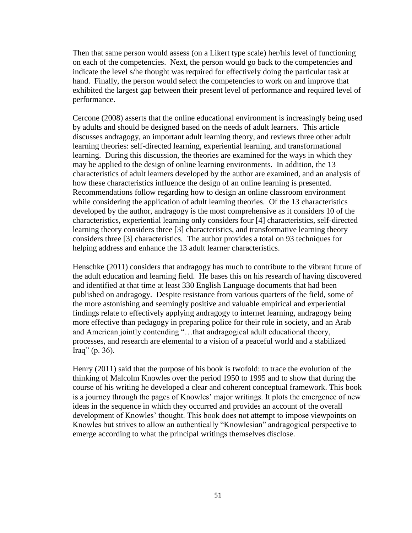Then that same person would assess (on a Likert type scale) her/his level of functioning on each of the competencies. Next, the person would go back to the competencies and indicate the level s/he thought was required for effectively doing the particular task at hand. Finally, the person would select the competencies to work on and improve that exhibited the largest gap between their present level of performance and required level of performance.

Cercone (2008) asserts that the online educational environment is increasingly being used by adults and should be designed based on the needs of adult learners. This article discusses andragogy, an important adult learning theory, and reviews three other adult learning theories: self-directed learning, experiential learning, and transformational learning. During this discussion, the theories are examined for the ways in which they may be applied to the design of online learning environments. In addition, the 13 characteristics of adult learners developed by the author are examined, and an analysis of how these characteristics influence the design of an online learning is presented. Recommendations follow regarding how to design an online classroom environment while considering the application of adult learning theories. Of the 13 characteristics developed by the author, andragogy is the most comprehensive as it considers 10 of the characteristics, experiential learning only considers four [4] characteristics, self-directed learning theory considers three [3] characteristics, and transformative learning theory considers three [3] characteristics. The author provides a total on 93 techniques for helping address and enhance the 13 adult learner characteristics.

Henschke (2011) considers that andragogy has much to contribute to the vibrant future of the adult education and learning field. He bases this on his research of having discovered and identified at that time at least 330 English Language documents that had been published on andragogy. Despite resistance from various quarters of the field, some of the more astonishing and seemingly positive and valuable empirical and experiential findings relate to effectively applying andragogy to internet learning, andragogy being more effective than pedagogy in preparing police for their role in society, and an Arab and American jointly contending "…that andragogical adult educational theory, processes, and research are elemental to a vision of a peaceful world and a stabilized Iraq" (p. 36).

Henry (2011) said that the purpose of his book is twofold: to trace the evolution of the thinking of Malcolm Knowles over the period 1950 to 1995 and to show that during the course of his writing he developed a clear and coherent conceptual framework. This book is a journey through the pages of Knowles' major writings. It plots the emergence of new ideas in the sequence in which they occurred and provides an account of the overall development of Knowles' thought. This book does not attempt to impose viewpoints on Knowles but strives to allow an authentically "Knowlesian" andragogical perspective to emerge according to what the principal writings themselves disclose.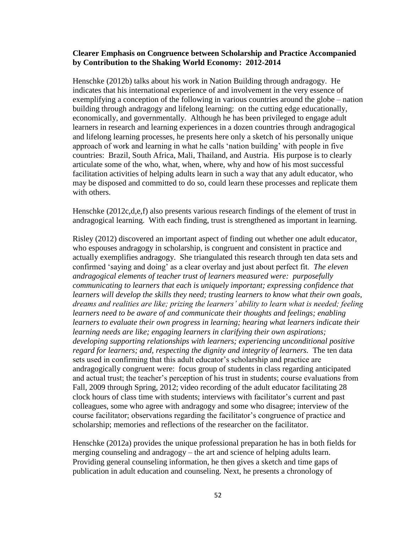### **Clearer Emphasis on Congruence between Scholarship and Practice Accompanied by Contribution to the Shaking World Economy: 2012-2014**

Henschke (2012b) talks about his work in Nation Building through andragogy. He indicates that his international experience of and involvement in the very essence of exemplifying a conception of the following in various countries around the globe – nation building through andragogy and lifelong learning: on the cutting edge educationally, economically, and governmentally. Although he has been privileged to engage adult learners in research and learning experiences in a dozen countries through andragogical and lifelong learning processes, he presents here only a sketch of his personally unique approach of work and learning in what he calls 'nation building' with people in five countries: Brazil, South Africa, Mali, Thailand, and Austria. His purpose is to clearly articulate some of the who, what, when, where, why and how of his most successful facilitation activities of helping adults learn in such a way that any adult educator, who may be disposed and committed to do so, could learn these processes and replicate them with others.

Henschke (2012c,d,e,f) also presents various research findings of the element of trust in andragogical learning. With each finding, trust is strengthened as important in learning.

Risley (2012) discovered an important aspect of finding out whether one adult educator, who espouses andragogy in scholarship, is congruent and consistent in practice and actually exemplifies andragogy. She triangulated this research through ten data sets and confirmed 'saying and doing' as a clear overlay and just about perfect fit. *The eleven andragogical elements of teacher trust of learners measured were: purposefully communicating to learners that each is uniquely important; expressing confidence that learners will develop the skills they need; trusting learners to know what their own goals, dreams and realities are like; prizing the learners' ability to learn what is needed; feeling learners need to be aware of and communicate their thoughts and feelings; enabling learners to evaluate their own progress in learning; hearing what learners indicate their learning needs are like; engaging learners in clarifying their own aspirations; developing supporting relationships with learners; experiencing unconditional positive regard for learners; and, respecting the dignity and integrity of learners.* The ten data sets used in confirming that this adult educator's scholarship and practice are andragogically congruent were: focus group of students in class regarding anticipated and actual trust; the teacher's perception of his trust in students; course evaluations from Fall, 2009 through Spring, 2012; video recording of the adult educator facilitating 28 clock hours of class time with students; interviews with facilitator's current and past colleagues, some who agree with andragogy and some who disagree; interview of the course facilitator; observations regarding the facilitator's congruence of practice and scholarship; memories and reflections of the researcher on the facilitator.

Henschke (2012a) provides the unique professional preparation he has in both fields for merging counseling and andragogy – the art and science of helping adults learn. Providing general counseling information, he then gives a sketch and time gaps of publication in adult education and counseling. Next, he presents a chronology of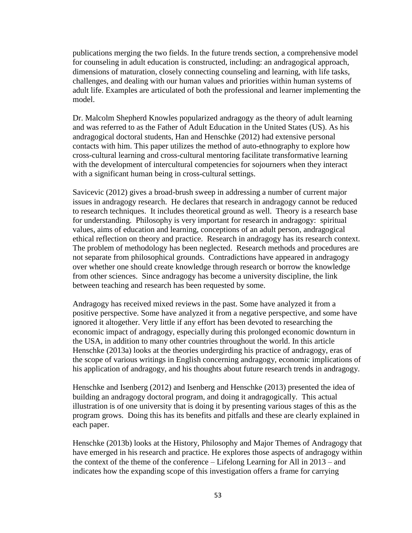publications merging the two fields. In the future trends section, a comprehensive model for counseling in adult education is constructed, including: an andragogical approach, dimensions of maturation, closely connecting counseling and learning, with life tasks, challenges, and dealing with our human values and priorities within human systems of adult life. Examples are articulated of both the professional and learner implementing the model.

Dr. Malcolm Shepherd Knowles popularized andragogy as the theory of adult learning and was referred to as the Father of Adult Education in the United States (US). As his andragogical doctoral students, Han and Henschke (2012) had extensive personal contacts with him. This paper utilizes the method of auto-ethnography to explore how cross-cultural learning and cross-cultural mentoring facilitate transformative learning with the development of intercultural competencies for sojourners when they interact with a significant human being in cross-cultural settings.

Savicevic (2012) gives a broad-brush sweep in addressing a number of current major issues in andragogy research. He declares that research in andragogy cannot be reduced to research techniques. It includes theoretical ground as well. Theory is a research base for understanding. Philosophy is very important for research in andragogy: spiritual values, aims of education and learning, conceptions of an adult person, andragogical ethical reflection on theory and practice. Research in andragogy has its research context. The problem of methodology has been neglected. Research methods and procedures are not separate from philosophical grounds. Contradictions have appeared in andragogy over whether one should create knowledge through research or borrow the knowledge from other sciences. Since andragogy has become a university discipline, the link between teaching and research has been requested by some.

Andragogy has received mixed reviews in the past. Some have analyzed it from a positive perspective. Some have analyzed it from a negative perspective, and some have ignored it altogether. Very little if any effort has been devoted to researching the economic impact of andragogy, especially during this prolonged economic downturn in the USA, in addition to many other countries throughout the world. In this article Henschke (2013a) looks at the theories undergirding his practice of andragogy, eras of the scope of various writings in English concerning andragogy, economic implications of his application of andragogy, and his thoughts about future research trends in andragogy.

Henschke and Isenberg (2012) and Isenberg and Henschke (2013) presented the idea of building an andragogy doctoral program, and doing it andragogically. This actual illustration is of one university that is doing it by presenting various stages of this as the program grows. Doing this has its benefits and pitfalls and these are clearly explained in each paper.

Henschke (2013b) looks at the History, Philosophy and Major Themes of Andragogy that have emerged in his research and practice. He explores those aspects of andragogy within the context of the theme of the conference – Lifelong Learning for All in 2013 – and indicates how the expanding scope of this investigation offers a frame for carrying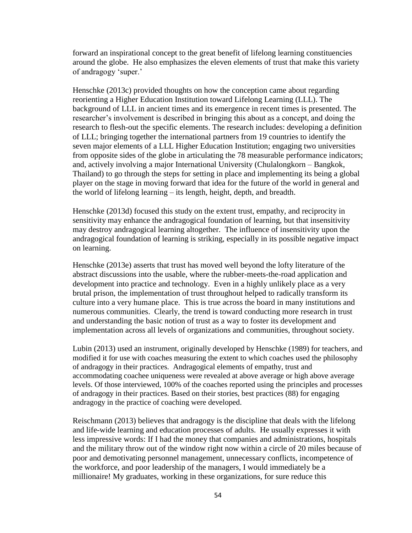forward an inspirational concept to the great benefit of lifelong learning constituencies around the globe. He also emphasizes the eleven elements of trust that make this variety of andragogy 'super.'

Henschke (2013c) provided thoughts on how the conception came about regarding reorienting a Higher Education Institution toward Lifelong Learning (LLL). The background of LLL in ancient times and its emergence in recent times is presented. The researcher's involvement is described in bringing this about as a concept, and doing the research to flesh-out the specific elements. The research includes: developing a definition of LLL; bringing together the international partners from 19 countries to identify the seven major elements of a LLL Higher Education Institution; engaging two universities from opposite sides of the globe in articulating the 78 measurable performance indicators; and, actively involving a major International University (Chulalongkorn – Bangkok, Thailand) to go through the steps for setting in place and implementing its being a global player on the stage in moving forward that idea for the future of the world in general and the world of lifelong learning – its length, height, depth, and breadth.

Henschke (2013d) focused this study on the extent trust, empathy, and reciprocity in sensitivity may enhance the andragogical foundation of learning, but that insensitivity may destroy andragogical learning altogether. The influence of insensitivity upon the andragogical foundation of learning is striking, especially in its possible negative impact on learning.

Henschke (2013e) asserts that trust has moved well beyond the lofty literature of the abstract discussions into the usable, where the rubber-meets-the-road application and development into practice and technology. Even in a highly unlikely place as a very brutal prison, the implementation of trust throughout helped to radically transform its culture into a very humane place. This is true across the board in many institutions and numerous communities. Clearly, the trend is toward conducting more research in trust and understanding the basic notion of trust as a way to foster its development and implementation across all levels of organizations and communities, throughout society.

Lubin (2013) used an instrument, originally developed by Henschke (1989) for teachers, and modified it for use with coaches measuring the extent to which coaches used the philosophy of andragogy in their practices. Andragogical elements of empathy, trust and accommodating coachee uniqueness were revealed at above average or high above average levels. Of those interviewed, 100% of the coaches reported using the principles and processes of andragogy in their practices. Based on their stories, best practices (88) for engaging andragogy in the practice of coaching were developed.

Reischmann (2013) believes that andragogy is the discipline that deals with the lifelong and life-wide learning and education processes of adults. He usually expresses it with less impressive words: If I had the money that companies and administrations, hospitals and the military throw out of the window right now within a circle of 20 miles because of poor and demotivating personnel management, unnecessary conflicts, incompetence of the workforce, and poor leadership of the managers, I would immediately be a millionaire! My graduates, working in these organizations, for sure reduce this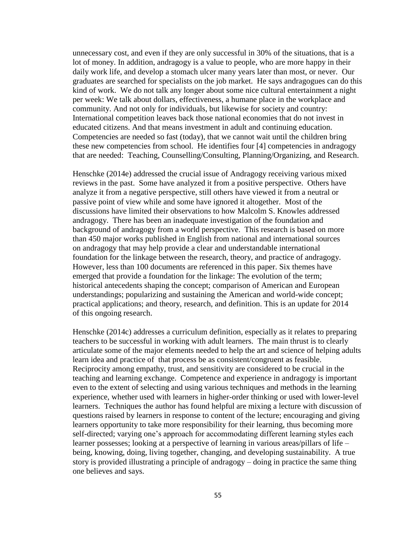unnecessary cost, and even if they are only successful in 30% of the situations, that is a lot of money. In addition, andragogy is a value to people, who are more happy in their daily work life, and develop a stomach ulcer many years later than most, or never. Our graduates are searched for specialists on the job market. He says andragogues can do this kind of work. We do not talk any longer about some nice cultural entertainment a night per week: We talk about dollars, effectiveness, a humane place in the workplace and community. And not only for individuals, but likewise for society and country: International competition leaves back those national economies that do not invest in educated citizens. And that means investment in adult and continuing education. Competencies are needed so fast (today), that we cannot wait until the children bring these new competencies from school. He identifies four [4] competencies in andragogy that are needed: Teaching, Counselling/Consulting, Planning/Organizing, and Research.

Henschke (2014e) addressed the crucial issue of Andragogy receiving various mixed reviews in the past. Some have analyzed it from a positive perspective. Others have analyze it from a negative perspective, still others have viewed it from a neutral or passive point of view while and some have ignored it altogether. Most of the discussions have limited their observations to how Malcolm S. Knowles addressed andragogy. There has been an inadequate investigation of the foundation and background of andragogy from a world perspective. This research is based on more than 450 major works published in English from national and international sources on andragogy that may help provide a clear and understandable international foundation for the linkage between the research, theory, and practice of andragogy. However, less than 100 documents are referenced in this paper. Six themes have emerged that provide a foundation for the linkage: The evolution of the term; historical antecedents shaping the concept; comparison of American and European understandings; popularizing and sustaining the American and world-wide concept; practical applications; and theory, research, and definition. This is an update for 2014 of this ongoing research.

Henschke (2014c) addresses a curriculum definition, especially as it relates to preparing teachers to be successful in working with adult learners. The main thrust is to clearly articulate some of the major elements needed to help the art and science of helping adults learn idea and practice of that process be as consistent/congruent as feasible. Reciprocity among empathy, trust, and sensitivity are considered to be crucial in the teaching and learning exchange. Competence and experience in andragogy is important even to the extent of selecting and using various techniques and methods in the learning experience, whether used with learners in higher-order thinking or used with lower-level learners. Techniques the author has found helpful are mixing a lecture with discussion of questions raised by learners in response to content of the lecture; encouraging and giving learners opportunity to take more responsibility for their learning, thus becoming more self-directed; varying one's approach for accommodating different learning styles each learner possesses; looking at a perspective of learning in various areas/pillars of life – being, knowing, doing, living together, changing, and developing sustainability. A true story is provided illustrating a principle of andragogy – doing in practice the same thing one believes and says.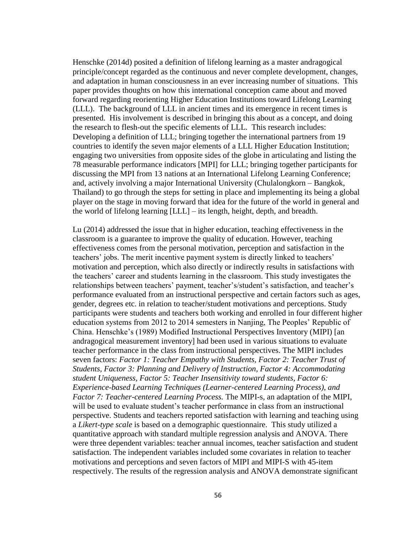Henschke (2014d) posited a definition of lifelong learning as a master andragogical principle/concept regarded as the continuous and never complete development, changes, and adaptation in human consciousness in an ever increasing number of situations. This paper provides thoughts on how this international conception came about and moved forward regarding reorienting Higher Education Institutions toward Lifelong Learning (LLL). The background of LLL in ancient times and its emergence in recent times is presented. His involvement is described in bringing this about as a concept, and doing the research to flesh-out the specific elements of LLL. This research includes: Developing a definition of LLL; bringing together the international partners from 19 countries to identify the seven major elements of a LLL Higher Education Institution; engaging two universities from opposite sides of the globe in articulating and listing the 78 measurable performance indicators [MPI] for LLL; bringing together participants for discussing the MPI from 13 nations at an International Lifelong Learning Conference; and, actively involving a major International University (Chulalongkorn – Bangkok, Thailand) to go through the steps for setting in place and implementing its being a global player on the stage in moving forward that idea for the future of the world in general and the world of lifelong learning [LLL] – its length, height, depth, and breadth.

Lu (2014) addressed the issue that in higher education, teaching effectiveness in the classroom is a guarantee to improve the quality of education. However, teaching effectiveness comes from the personal motivation, perception and satisfaction in the teachers' jobs. The merit incentive payment system is directly linked to teachers' motivation and perception, which also directly or indirectly results in satisfactions with the teachers' career and students learning in the classroom. This study investigates the relationships between teachers' payment, teacher's/student's satisfaction, and teacher's performance evaluated from an instructional perspective and certain factors such as ages, gender, degrees etc. in relation to teacher/student motivations and perceptions. Study participants were students and teachers both working and enrolled in four different higher education systems from 2012 to 2014 semesters in Nanjing, The Peoples' Republic of China. Henschke's (1989) Modified Instructional Perspectives Inventory (MIPI) [an andragogical measurement inventory] had been used in various situations to evaluate teacher performance in the class from instructional perspectives. The MIPI includes seven factors: *Factor 1: Teacher Empathy with Students, Factor 2: Teacher Trust of Students, Factor 3: Planning and Delivery of Instruction, Factor 4: Accommodating student Uniqueness, Factor 5: Teacher Insensitivity toward students, Factor 6: Experience-based Learning Techniques (Learner-centered Learning Process), and Factor 7: Teacher-centered Learning Process.* The MIPI-s, an adaptation of the MIPI, will be used to evaluate student's teacher performance in class from an instructional perspective. Students and teachers reported satisfaction with learning and teaching using a *Likert-type scale* is based on a demographic questionnaire. This study utilized a quantitative approach with standard multiple regression analysis and ANOVA. There were three dependent variables: teacher annual incomes, teacher satisfaction and student satisfaction. The independent variables included some covariates in relation to teacher motivations and perceptions and seven factors of MIPI and MIPI-S with 45-item respectively. The results of the regression analysis and ANOVA demonstrate significant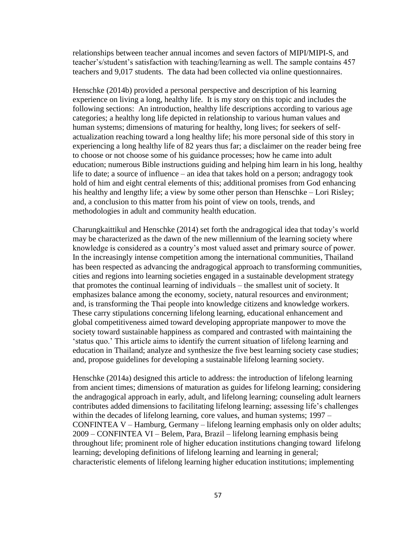relationships between teacher annual incomes and seven factors of MIPI/MIPI-S, and teacher's/student's satisfaction with teaching/learning as well. The sample contains 457 teachers and 9,017 students. The data had been collected via online questionnaires.

Henschke (2014b) provided a personal perspective and description of his learning experience on living a long, healthy life. It is my story on this topic and includes the following sections: An introduction, healthy life descriptions according to various age categories; a healthy long life depicted in relationship to various human values and human systems; dimensions of maturing for healthy, long lives; for seekers of selfactualization reaching toward a long healthy life; his more personal side of this story in experiencing a long healthy life of 82 years thus far; a disclaimer on the reader being free to choose or not choose some of his guidance processes; how he came into adult education; numerous Bible instructions guiding and helping him learn in his long, healthy life to date; a source of influence – an idea that takes hold on a person; andragogy took hold of him and eight central elements of this; additional promises from God enhancing his healthy and lengthy life; a view by some other person than Henschke – Lori Risley; and, a conclusion to this matter from his point of view on tools, trends, and methodologies in adult and community health education.

Charungkaittikul and Henschke (2014) set forth the andragogical idea that today's world may be characterized as the dawn of the new millennium of the learning society where knowledge is considered as a country's most valued asset and primary source of power. In the increasingly intense competition among the international communities, Thailand has been respected as advancing the andragogical approach to transforming communities, cities and regions into learning societies engaged in a sustainable development strategy that promotes the continual learning of individuals – the smallest unit of society. It emphasizes balance among the economy, society, natural resources and environment; and, is transforming the Thai people into knowledge citizens and knowledge workers. These carry stipulations concerning lifelong learning, educational enhancement and global competitiveness aimed toward developing appropriate manpower to move the society toward sustainable happiness as compared and contrasted with maintaining the 'status quo.' This article aims to identify the current situation of lifelong learning and education in Thailand; analyze and synthesize the five best learning society case studies; and, propose guidelines for developing a sustainable lifelong learning society.

Henschke (2014a) designed this article to address: the introduction of lifelong learning from ancient times; dimensions of maturation as guides for lifelong learning; considering the andragogical approach in early, adult, and lifelong learning; counseling adult learners contributes added dimensions to facilitating lifelong learning; assessing life's challenges within the decades of lifelong learning, core values, and human systems; 1997 – CONFINTEA V – Hamburg, Germany – lifelong learning emphasis only on older adults; 2009 – CONFINTEA VI – Belem, Para, Brazil – lifelong learning emphasis being throughout life; prominent role of higher education institutions changing toward lifelong learning; developing definitions of lifelong learning and learning in general; characteristic elements of lifelong learning higher education institutions; implementing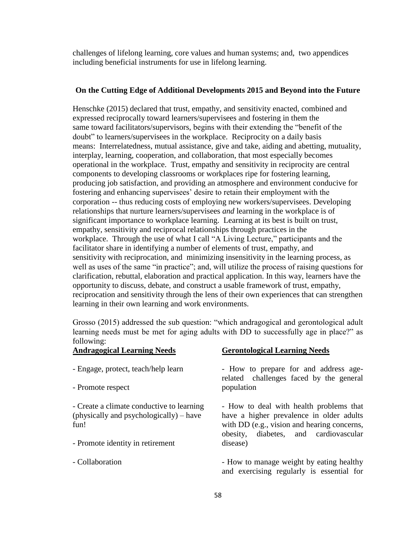challenges of lifelong learning, core values and human systems; and, two appendices including beneficial instruments for use in lifelong learning.

# **On the Cutting Edge of Additional Developments 2015 and Beyond into the Future**

Henschke (2015) declared that trust, empathy, and sensitivity enacted, combined and expressed reciprocally toward learners/supervisees and fostering in them the same toward facilitators/supervisors, begins with their extending the "benefit of the doubt" to learners/supervisees in the workplace. Reciprocity on a daily basis means: Interrelatedness, mutual assistance, give and take, aiding and abetting, mutuality, interplay, learning, cooperation, and collaboration, that most especially becomes operational in the workplace.Trust, empathy and sensitivity in reciprocity are central components to developing classrooms or workplaces ripe for fostering learning, producing job satisfaction, and providing an atmosphere and environment conducive for fostering and enhancing supervisees' desire to retain their employment with the corporation -- thus reducing costs of employing new workers/supervisees. Developing relationships that nurture learners/supervisees *and* learning in the workplace is of significant importance to workplace learning. Learning at its best is built on trust, empathy, sensitivity and reciprocal relationships through practices in the workplace. Through the use of what I call "A Living Lecture," participants and the facilitator share in identifying a number of elements of trust, empathy, and sensitivity with reciprocation, and minimizing insensitivity in the learning process, as well as uses of the same "in practice"; and, will utilize the process of raising questions for clarification, rebuttal, elaboration and practical application. In this way, learners have the opportunity to discuss, debate, and construct a usable framework of trust, empathy, reciprocation and sensitivity through the lens of their own experiences that can strengthen learning in their own learning and work environments.

Grosso (2015) addressed the sub question: "which andragogical and gerontological adult learning needs must be met for aging adults with DD to successfully age in place?" as following:

| <b>Andragogical Learning Needs</b>                                                           | <b>Gerontological Learning Needs</b>                                                                                                                                        |
|----------------------------------------------------------------------------------------------|-----------------------------------------------------------------------------------------------------------------------------------------------------------------------------|
| - Engage, protect, teach/help learn                                                          | - How to prepare for and address age-<br>related challenges faced by the general                                                                                            |
| - Promote respect                                                                            | population                                                                                                                                                                  |
| - Create a climate conductive to learning<br>(physically and psychologically) – have<br>fun! | - How to deal with health problems that<br>have a higher prevalence in older adults<br>with DD (e.g., vision and hearing concerns,<br>obesity, diabetes, and cardiovascular |
| - Promote identity in retirement                                                             | disease)                                                                                                                                                                    |
| - Collaboration                                                                              | - How to manage weight by eating healthy<br>and exercising regularly is essential for                                                                                       |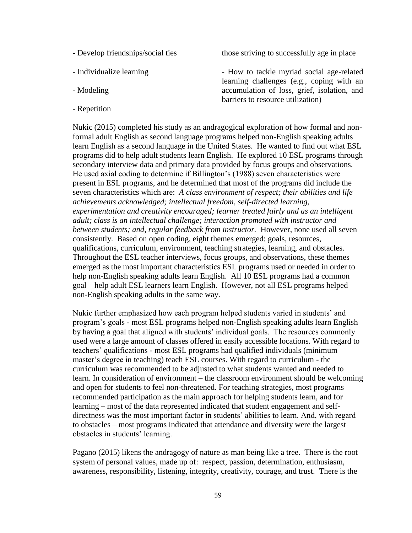- Develop friendships/social ties
- Individualize learning
- Modeling
- Repetition

those striving to successfully age in place

- How to tackle myriad social age-related learning challenges (e.g., coping with an accumulation of loss, grief, isolation, and barriers to resource utilization)

Nukic (2015) completed his study as an andragogical exploration of how formal and nonformal adult English as second language programs helped non-English speaking adults learn English as a second language in the United States. He wanted to find out what ESL programs did to help adult students learn English. He explored 10 ESL programs through secondary interview data and primary data provided by focus groups and observations. He used axial coding to determine if Billington's (1988) seven characteristics were present in ESL programs, and he determined that most of the programs did include the seven characteristics which are: *A class environment of respect; their abilities and life achievements acknowledged; intellectual freedom, self-directed learning, experimentation and creativity encouraged; learner treated fairly and as an intelligent adult; class is an intellectual challenge; interaction promoted with instructor and between students; and, regular feedback from instructor.* However, none used all seven consistently. Based on open coding, eight themes emerged: goals, resources, qualifications, curriculum, environment, teaching strategies, learning, and obstacles. Throughout the ESL teacher interviews, focus groups, and observations, these themes emerged as the most important characteristics ESL programs used or needed in order to help non-English speaking adults learn English. All 10 ESL programs had a common goal – help adult ESL learners learn English. However, not all ESL programs helped non-English speaking adults in the same way.

Nukic further emphasized how each program helped students varied in students' and program's goals - most ESL programs helped non-English speaking adults learn English by having a goal that aligned with students' individual goals. The resources commonly used were a large amount of classes offered in easily accessible locations. With regard to teachers' qualifications - most ESL programs had qualified individuals (minimum master's degree in teaching) teach ESL courses. With regard to curriculum - the curriculum was recommended to be adjusted to what students wanted and needed to learn. In consideration of environment – the classroom environment should be welcoming and open for students to feel non-threatened. For teaching strategies, most programs recommended participation as the main approach for helping students learn, and for learning – most of the data represented indicated that student engagement and selfdirectness was the most important factor in students' abilities to learn. And, with regard to obstacles – most programs indicated that attendance and diversity were the largest obstacles in students' learning.

Pagano (2015) likens the andragogy of nature as man being like a tree. There is the root system of personal values, made up of: respect, passion, determination, enthusiasm, awareness, responsibility, listening, integrity, creativity, courage, and trust. There is the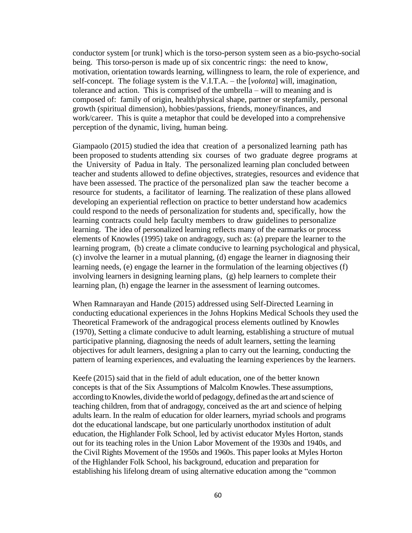conductor system [or trunk] which is the torso-person system seen as a bio-psycho-social being. This torso-person is made up of six concentric rings: the need to know, motivation, orientation towards learning, willingness to learn, the role of experience, and self-concept. The foliage system is the V.I.T.A. – the [*volonta*] will, imagination, tolerance and action. This is comprised of the umbrella – will to meaning and is composed of: family of origin, health/physical shape, partner or stepfamily, personal growth (spiritual dimension), hobbies/passions, friends, money/finances, and work/career. This is quite a metaphor that could be developed into a comprehensive perception of the dynamic, living, human being.

Giampaolo (2015) studied the idea that creation of a personalized learning path has been proposed to students attending six courses of two graduate degree programs at the University of Padua in Italy. The personalized learning plan concluded between teacher and students allowed to define objectives, strategies, resources and evidence that have been assessed. The practice of the personalized plan saw the teacher become a resource for students, a facilitator of learning. The realization of these plans allowed developing an experiential reflection on practice to better understand how academics could respond to the needs of personalization for students and, specifically, how the learning contracts could help faculty members to draw guidelines to personalize learning. The idea of personalized learning reflects many of the earmarks or process elements of Knowles (1995) take on andragogy, such as: (a) prepare the learner to the learning program, (b) create a climate conducive to learning psychological and physical, (c) involve the learner in a mutual planning, (d) engage the learner in diagnosing their learning needs, (e) engage the learner in the formulation of the learning objectives (f) involving learners in designing learning plans, (g) help learners to complete their learning plan, (h) engage the learner in the assessment of learning outcomes.

When Ramnarayan and Hande (2015) addressed using Self-Directed Learning in conducting educational experiences in the Johns Hopkins Medical Schools they used the Theoretical Framework of the andragogical process elements outlined by Knowles (1970), Setting a climate conducive to adult learning, establishing a structure of mutual participative planning, diagnosing the needs of adult learners, setting the learning objectives for adult learners, designing a plan to carry out the learning, conducting the pattern of learning experiences, and evaluating the learning experiences by the learners.

Keefe (2015) said that in the field of adult education, one of the better known concepts is that of the Six Assumptions of Malcolm Knowles.These assumptions, according to Knowles, divide the world of pedagogy, defined as the art and science of teaching children, from that of andragogy, conceived as the art and science of helping adults learn. In the realm of education for older learners, myriad schools and programs dot the educational landscape, but one particularly unorthodox institution of adult education, the Highlander Folk School, led by activist educator Myles Horton, stands out for its teaching roles in the Union Labor Movement of the 1930s and 1940s, and the Civil Rights Movement of the 1950s and 1960s. This paper looks at Myles Horton of the Highlander Folk School, his background, education and preparation for establishing his lifelong dream of using alternative education among the "common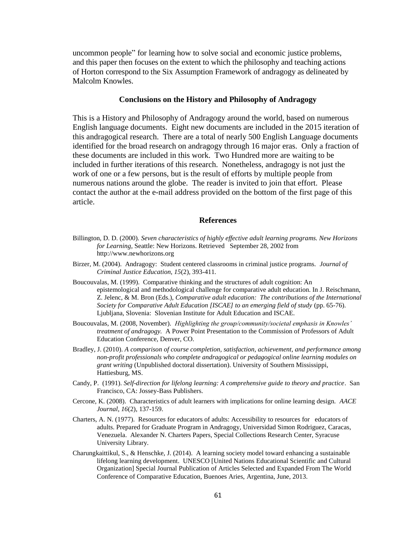uncommon people" for learning how to solve social and economic justice problems, and this paper then focuses on the extent to which the philosophy and teaching actions of Horton correspond to the Six Assumption Framework of andragogy as delineated by Malcolm Knowles.

#### **Conclusions on the History and Philosophy of Andragogy**

This is a History and Philosophy of Andragogy around the world, based on numerous English language documents. Eight new documents are included in the 2015 iteration of this andragogical research. There are a total of nearly 500 English Language documents identified for the broad research on andragogy through 16 major eras. Only a fraction of these documents are included in this work. Two Hundred more are waiting to be included in further iterations of this research. Nonetheless, andragogy is not just the work of one or a few persons, but is the result of efforts by multiple people from numerous nations around the globe. The reader is invited to join that effort. Please contact the author at the e-mail address provided on the bottom of the first page of this article.

#### **References**

- Billington, D. D. (2000). *Seven characteristics of highly effective adult learning programs. New Horizons for Learning,* Seattle: New Horizons. Retrieved September 28, 2002 from [http://www.newhorizons.org](http://www.newhorizons.org/)
- Birzer, M. (2004). Andragogy: Student centered classrooms in criminal justice programs. *Journal of Criminal Justice Education, 15*(2)*,* 393-411*.*
- Boucouvalas, M. (1999). Comparative thinking and the structures of adult cognition: An epistemological and methodological challenge for comparative adult education. In J. Reischmann, Z. Jelenc, & M. Bron (Eds.), *Comparative adult education: The contributions of the International Society for Comparative Adult Education [ISCAE] to an emerging field of study* (pp. 65-76). Ljubljana, Slovenia: Slovenian Institute for Adult Education and ISCAE.
- Boucouvalas, M. (2008, November). *Highlighting the group/community/societal emphasis in Knowles' treatment of andragogy.* A Power Point Presentation to the Commission of Professors of Adult Education Conference, Denver, CO.
- Bradley, J. (2010). *A comparison of course completion, satisfaction, achievement, and performance among non-profit professionals who complete andragogical or pedagogical online learning modules on grant writing* (Unpublished doctoral dissertation). University of Southern Mississippi, Hattiesburg, MS.
- Candy, P. (1991). *Self-direction for lifelong learning: A comprehensive guide to theory and practice*. San Francisco, CA: Jossey-Bass Publishers.
- Cercone, K. (2008). Characteristics of adult learners with implications for online learning design. *AACE Journal, 16*(2), 137-159.
- Charters, A. N. (1977). Resources for educators of adults: Accessibility to resources for educators of adults. Prepared for Graduate Program in Andragogy, Universidad Simon Rodriguez, Caracas, Venezuela. Alexander N. Charters Papers, Special Collections Research Center, Syracuse University Library.
- Charungkaittikul, S., & Henschke, J. (2014). A learning society model toward enhancing a sustainable lifelong learning development. UNESCO [United Nations Educational Scientific and Cultural Organization] Special Journal Publication of Articles Selected and Expanded From The World Conference of Comparative Education, Buenoes Aries, Argentina, June, 2013.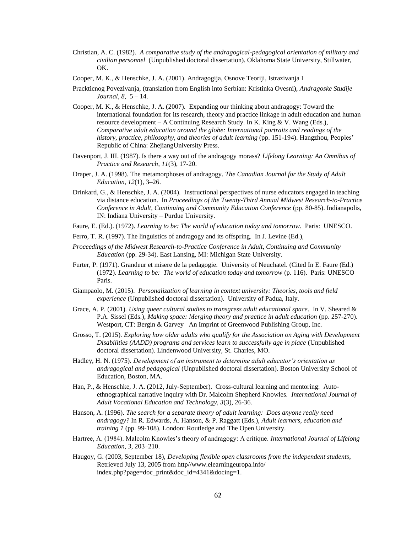- Christian, A. C. (1982). *A comparative study of the andragogical-pedagogical orientation of military and civilian personnel* (Unpublished doctoral dissertation). Oklahoma State University, Stillwater, OK.
- Cooper, M. K., & Henschke, J. A. (2001). Andragogija, Osnove Teoriji, Istrazivanja I
- Prackticnog Povezivanja, (translation from English into Serbian: Kristinka Ovesni), *Andragoske Studije Journal*, *8,* 5 – 14.
- Cooper, M. K., & Henschke, J. A. (2007). [Expanding our thinking about andragogy: Toward the](http://www.umsl.edu/~henschkej/articles/added_05_07/Ch_10_Comparative_Adult_Education_Trends_Around_The_Globe.pdf)  [international foundation for its research, theory and practice linkage in adult education and human](http://www.umsl.edu/~henschkej/articles/added_05_07/Ch_10_Comparative_Adult_Education_Trends_Around_The_Globe.pdf)  resource development – [A Continuing Research Study.](http://www.umsl.edu/~henschkej/articles/added_05_07/Ch_10_Comparative_Adult_Education_Trends_Around_The_Globe.pdf) In K. King & V. Wang (Eds.), *Comparative adult education around the globe: International portraits and readings of the history, practice, philosophy, and theories of adult learning* (pp. 151-194). Hangzhou, Peoples' Republic of China: ZhejiangUniversity Press.
- Davenport, J. III. (1987). Is there a way out of the andragogy morass? *Lifelong Learning: An Omnibus of Practice and Research*, *11*(3), 17-20.
- Draper, J. A. (1998). The metamorphoses of andragogy. *The Canadian Journal for the Study of Adult Education, 12*(1), 3–26.
- Drinkard, G., & Henschke, J. A. (2004). [Instructional perspectives of nurse educators engaged in teaching](http://www.umsl.edu/~henschkej/articles/added_05_07/Ch_31_Proceddings_of_the_23rd_Annual_Midwest_Research-to-Practice_Conference.pdf)  [via distance education.](http://www.umsl.edu/~henschkej/articles/added_05_07/Ch_31_Proceddings_of_the_23rd_Annual_Midwest_Research-to-Practice_Conference.pdf) In *Proceedings of the Twenty-Third Annual Midwest Research-to-Practice Conference in Adult, Continuing and Community Education Conference* (pp. 80-85). Indianapolis, IN: Indiana University – Purdue University.
- Faure, E. (Ed.). (1972). *Learning to be: The world of education today and tomorrow*. Paris: UNESCO.
- Ferro, T. R. (1997). The linguistics of andragogy and its offspring. In J. Levine (Ed.),
- *Proceedings of the Midwest Research-to-Practice Conference in Adult, Continuing and Community Education* (pp. 29-34). East Lansing, MI: Michigan State University.
- Furter, P. (1971). Grandeur et misere de la pedagogie. University of Neuchatel. (Cited In E. Faure (Ed.) (1972). *Learning to be: The world of education today and tomorrow* (p. 116). Paris: UNESCO Paris.
- Giampaolo, M. (2015). *Personalization of learning in context university: Theories, tools and field experience* (Unpublished doctoral dissertation). University of Padua, Italy.
- Grace, A. P. (2001). *Using queer cultural studies to transgress adult educational space*. In V. Sheared & P.A. Sissel (Eds.), *Making space: Merging theory and practice in adult education* (pp. 257-270). Westport, CT: Bergin & Garvey –An Imprint of Greenwood Publishing Group, Inc.
- Grosso, T. (2015). *Exploring how older adults who qualify for the Association on Aging with Development Disabilities (AADD) programs and services learn to successfully age in place* (Unpublished doctoral dissertation). Lindenwood University, St. Charles, MO.
- Hadley, H. N. (1975). *Development of an instrument to determine adult educator's orientation as andragogical and pedagogical* (Unpublished doctoral dissertation). Boston University School of Education, Boston, MA.
- Han, P., & Henschke, J. A. (2012, July-September). Cross-cultural learning and mentoring: Autoethnographical narrative inquiry with Dr. Malcolm Shepherd Knowles. *International Journal of Adult Vocational Education and Technology, 3*(3), 26-36.
- Hanson, A. (1996). *The search for a separate theory of adult learning: Does anyone really need andragogy?* In R. Edwards, A. Hanson, & P. Raggatt (Eds.), *Adult learners, education and training 1* (pp. 99-108). London: Routledge and The Open University.
- Hartree, A. (1984). Malcolm Knowles's theory of andragogy: A critique. *International Journal of Lifelong Education, 3*, 203–210.
- Haugoy, G. (2003, September 18), *Developing flexible open classrooms from the independent students*, Retrieved July 13, 2005 from http//www.elearningeuropa.info/ index.php?page=doc\_print&doc\_id=4341&docing=1.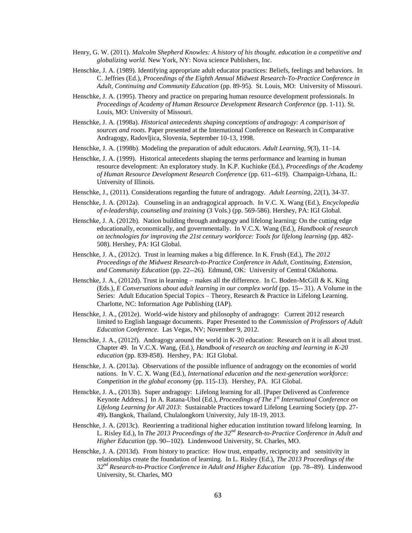- Henry, G. W. (2011). *Malcolm Shepherd Knowles: A history of his thought. education in a competitive and globalizing world.* New York, NY: Nova science Publishers, Inc.
- Henschke, J. A. (1989). Identifying appropriate adult educator practices: Beliefs, feelings and behaviors. In C. Jeffries (Ed.), *Proceedings of the Eighth Annual Midwest Research-To-Practice Conference in Adult, Continuing and Community Education* (pp. 89-95). St. Louis, MO: University of Missouri.
- Henschke, J. A. (1995). Theory and practice on preparing human resource development professionals. In *Proceedings of Academy of Human Resource Development Research Conference* (pp. 1-11). St. Louis, MO: University of Missouri.
- Henschke, J. A. (1998a). *Historical antecedents shaping conceptions of andragogy: A comparison of sources and roots*. Paper presented at the International Conference on Research in Comparative Andragogy, Radovljica, Slovenia, September 10-13, 1998.
- Henschke, J. A. (1998b). Modeling the preparation of adult educators. *Adult Learning*, *9*(3), 11–14.
- Henschke, J. A. (1999). [Historical antecedents shaping the terms performance and learning in human](http://www.umsl.edu/~henschkej/articles/Proceedings199AHRDCon.pdf)  [resource development: An exploratory study. In](http://www.umsl.edu/~henschkej/articles/Proceedings199AHRDCon.pdf) K.P. Kuchinke (Ed.), *Proceedings of the Academy [of Human Resource Development Research Conference](http://www.umsl.edu/~henschkej/articles/Proceedings199AHRDCon.pdf)* (pp. 611--619)*.* Champaign-Urbana, IL: University of Illinois.
- Henschke, J., (2011). Considerations regarding the future of andragogy. *Adult Learning, 22*(1)*,* 34-37.
- Henschke, J. A. (2012a). Counseling in an andragogical approach. In V.C. X. Wang (Ed.), *Encyclopedia of e-leadership, counseling and training* (3 Vols.) (pp. 569-586). Hershey, PA: IGI Global.
- Henschke, J. A. (2012b). Nation building through andragogy and lifelong learning: On the cutting edge educationally, economically, and governmentally. In V.C.X. Wang (Ed.), *Handbook of research on technologies for improving the 21st century workforce: Tools for lifelong learning (pp. 482-*508). Hershey, PA: IGI Global.
- Henschke, J. A., (2012c). Trust in learning makes a big difference. In K. Frush (Ed.), *The 2012 Proceedings of the Midwest Research-to-Practice Conference in Adult, Continuing, Extension, and Community Education* (pp. 22--26)*.* Edmund, OK: University of Central Oklahoma.
- Henschke, J. A., (2012d). Trust in learning makes all the difference. In C. Boden-McGill & K. King (Eds.), *E Conversations about adult learning in our complex world* (pp. 15-- 31). A Volume in the Series: Adult Education Special Topics – Theory, Research & Practice in Lifelong Learning. Charlotte, NC: Information Age Publishing (IAP).
- Henschke, J. A., (2012e). World-wide history and philosophy of andragogy: Current 2012 research limited to English language documents. Paper Presented to the *Commission of Professors of Adult Education Conference.* Las Vegas, NV; November 9, 2012.
- Henschke, J. A., (2012f). Andragogy around the world in K-20 education: Research on it is all about trust. Chapter 49. In V.C.X. Wang, (Ed.), *Handbook of research on teaching and learning in K-20 education* (pp. 839-858)*.* Hershey, PA: IGI Global.
- Henschke, J. A. (2013a). Observations of the possible influence of andragogy on the economies of world nations. In V. C. X. Wang (Ed.), *International education and the next-generation workforce: Competition in the global economy* (pp. 115-13). Hershey, PA. IGI Global.
- Henschke, J. A., (2013b). Super andragogy: Lifelong learning for all. [Paper Delivered as Conference Keynote Address.] In A. Ratana-Ubol (Ed.), *Proceedings of The 1st International Conference on Lifelong Learning for All 2013*: Sustainable Practices toward Lifelong Learning Society (pp. 27- 49)**.** Bangkok, Thailand, Chulalongkorn University, July 18-19, 2013.
- Henschke, J. A. (2013c). Reorienting a traditional higher education institution toward lifelong learning. In L. Risley Ed.), In *The 2013 Proceedings of the 32nd Research-to-Practice Conference in Adult and Higher Education* (pp. 90--102)*.* Lindenwood University, St. Charles, MO.
- Henschke, J. A. (2013d). From history to practice: How trust, empathy, reciprocity and sensitivity in relationships create the foundation of learning. In L. Risley (Ed.), *The 2013 Proceedings of the 32nd Research-to-Practice Conference in Adult and Higher Education* (pp. 78--89). Lindenwood University, St. Charles, MO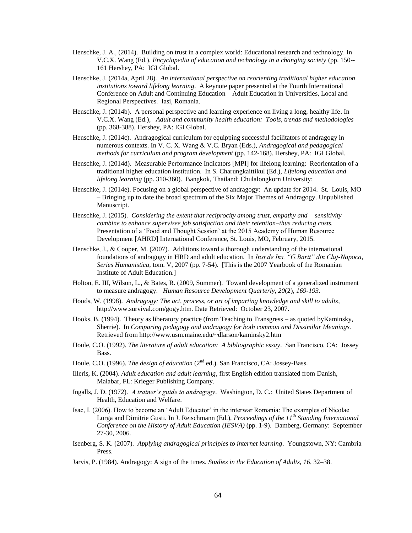- Henschke, J. A., (2014). Building on trust in a complex world: Educational research and technology. In V.C.X. Wang (Ed.), *Encyclopedia of education and technology in a changing society* (pp. 150-- 161 Hershey, PA: IGI Global.
- Henschke, J. (2014a, April 28). *An international perspective on reorienting traditional higher education institutions toward lifelong learning*. A keynote paper presented at the Fourth International Conference on Adult and Continuing Education – Adult Education in Universities, Local and Regional Perspectives. Iasi, Romania.
- Henschke, J. (2014b). A personal perspective and learning experience on living a long, healthy life. In V.C.X. Wang (Ed.), *Adult and community health education: Tools, trends and methodologies*  (pp. 368-388). Hershey, PA: IGI Global.
- Henschke, J. (2014c). Andragogical curriculum for equipping successful facilitators of andragogy in numerous contexts. In V. C. X. Wang & V.C. Bryan (Eds.), *Andragogical and pedagogical methods for curriculum and program development* (pp. 142-168)*.* Hershey, PA: IGI Global.
- Henschke, J. (2014d). Measurable Performance Indicators [MPI] for lifelong learning: Reorientation of a traditional higher education institution. In S. Charungkaittikul (Ed.), *Lifelong education and lifelong learning* (pp. 310-360). Bangkok, Thailand: Chulalongkorn University:
- Henschke, J. (2014e). Focusing on a global perspective of andragogy: An update for 2014. St. Louis, MO – Bringing up to date the broad spectrum of the Six Major Themes of Andragogy. Unpublished Manuscript.
- Henschke, J. (2015). *Considering the extent that reciprocity among trust, empathy and sensitivity combine to enhance supervisee job satisfaction and their retention–thus reducing costs.*  Presentation of a 'Food and Thought Session' at the 2015 Academy of Human Resource Development [AHRD] International Conference, St. Louis, MO, February, 2015.
- Henschke, J., & Cooper, M. (2007). Additions toward a thorough understanding of the international foundations of andragogy in HRD and adult education. In *Inst.de Ins. "G.Barit" din Cluj-Napoca, Series Humanistica,* tom. V, 2007 (pp. 7-54). [This is the 2007 Yearbook of the Romanian Institute of Adult Education.]
- Holton, E. III, Wilson, L., & Bates, R. (2009, Summer). Toward development of a generalized instrument to measure andragogy. *Human Resource Development Quarterly, 20*(2)*, 169-193.*
- Hoods, W. (1998). *Andragogy: The act, process, or art of imparting knowledge and skill to adults*, http://www.survival.com/gogy.htm. Date Retrieved: October 23, 2007.
- Hooks, B. (1994). Theory as liberatory practice (from Teaching to Transgress as quoted byKaminsky, Sherrie). In *Comparing pedagogy and andragogy for both common and Dissimilar Meanings.*  Retrieved from http://www.usm.maine.edu/~dlarson/kaminsky2.htm
- Houle, C.O. (1992). *The literature of adult education: A bibliographic essay*. San Francisco, CA: Jossey Bass.
- Houle, C.O. (1996). *The design of education* (2<sup>nd</sup> ed.). San Francisco, CA: Jossey-Bass.
- Illeris, K. (2004). *Adult education and adult learning*, first English edition translated from Danish, Malabar, FL: Krieger Publishing Company.
- Ingalls, J. D. (1972). *A trainer's guide to andragogy*. Washington, D. C.: United States Department of Health, Education and Welfare.
- Isac, I. (2006). How to become an 'Adult Educator' in the interwar Romania: The examples of Nicolae Lorga and Dimitrie Gusti. In J. Reischmann (Ed.), *Proceedings of the 11th Standing International Conference on the History of Adult Education (IESVA)* (pp. 1-9). Bamberg, Germany: September 27-30, 2006.
- Isenberg, S. K. (2007). *Applying andragogical principles to internet learning*. Youngstown, NY: Cambria Press.
- Jarvis, P. (1984). Andragogy: A sign of the times. *Studies in the Education of Adults, 16*, 32–38.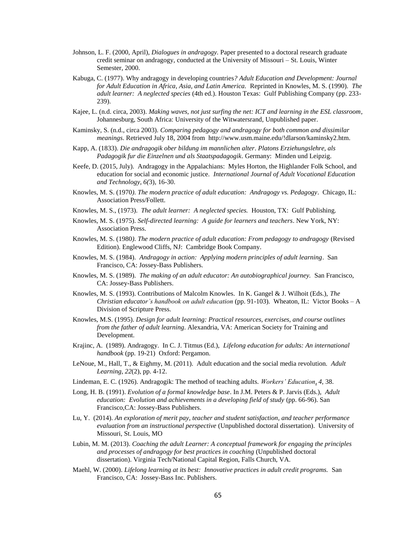- Johnson, L. F. (2000, April), *Dialogues in andragogy.* Paper presented to a doctoral research graduate credit seminar on andragogy, conducted at the University of Missouri – St. Louis, Winter Semester, 2000.
- Kabuga, C. (1977). Why andragogy in developing countries*? Adult Education and Development: Journal for Adult Education in Africa, Asia, and Latin America.* Reprinted in Knowles, M. S. (1990). *The adult learner: A neglected species* (4th ed.). Houston Texas: Gulf Publishing Company (pp. 233- 239).
- Kajee, L. (n.d. circa, 2003). *Making waves, not just surfing the net: ICT and learning in the ESL classroom*, Johannesburg, South Africa: University of the Witwatersrand, Unpublished paper.
- Kaminsky, S. (n.d., circa 2003). *Comparing pedagogy and andragogy for both common and dissimilar meanings*. Retrieved July 18, 2004 from [http://www.usm.maine.edu/!dlarson/kaminsky2.htm.](http://www.usm.maine.edu/!dlarson/kaminsky2.htm)
- Kapp, A. (1833). *Die andragogik ober bildung im mannlichen alter*. *Platons Erziehungslehre, als Padagogik fur die Einzelnen und als Staatspadagogik*. Germany: Minden und Leipzig.
- Keefe, D. (2015, July). Andragogy in the Appalachians: Myles Horton, the Highlander Folk School, and education for social and economic justice*. International Journal of Adult Vocational Education and Technology, 6(*3), 16-30.
- Knowles, M. S. (1970*)*. *The modern practice of adult education: Andragogy vs. Pedagogy*. Chicago, IL: Association Press/Follett.
- Knowles, M. S., (1973). *The adult learner: A neglected species.* Houston, TX: Gulf Publishing.
- Knowles, M. S. (1975). *Self-directed learning: A guide for learners and teachers*. New York, NY: Association Press.
- Knowles, M. S. (1980*)*. *The modern practice of adult education: From pedagogy to andragogy* (Revised Edition). Englewood Cliffs, NJ: Cambridge Book Company.
- Knowles, M. S. (1984). *Andragogy in action: Applying modern principles of adult learning*. San Francisco, CA: Jossey-Bass Publishers.
- Knowles, M. S. (1989). *The making of an adult educator: An autobiographical journey.* San Francisco, CA: Jossey-Bass Publishers.
- Knowles, M. S. (1993). Contributions of Malcolm Knowles. In K. Gangel & J. Wilhoit (Eds.), *The Christian educator's handbook on adult education* (pp. 91-103)*.* Wheaton, IL: Victor Books – A Division of Scripture Press.
- Knowles, M.S. (1995). *Design for adult learning: Practical resources, exercises, and course outlines from the father of adult learning*. Alexandria, VA: American Society for Training and Development.
- Krajinc, A. (1989). Andragogy. In C. J. Titmus (Ed.), *Lifelong education for adults: An international handbook* (pp. 19-21) Oxford: Pergamon.
- LeNoue, M., Hall, T., & Eighmy, M. (2011). Adult education and the social media revolution. *Adult Learning, 22*(2), pp. 4-12.
- Lindeman, E. C. (1926). Andragogik: The method of teaching adults. *Workers' Education, 4*, 38.
- Long, H. B. (1991). *Evolution of a formal knowledge base*. In J.M. Peters & P. Jarvis (Eds.), *Adult education: Evolution and achievements in a developing field of study (pp. 66-96). San* Francisco,CA: Jossey-Bass Publishers.
- Lu, Y. (2014). *An exploration of merit pay, teacher and student satisfaction, and teacher performance evaluation from an instructional perspective* (Unpublished doctoral dissertation). University of Missouri, St. Louis, MO
- Lubin, M. M. (2013). *Coaching the adult Learner: A conceptual framework for engaging the principles and processes of andragogy for best practices in coaching* (Unpublished doctoral dissertation). Virginia Tech/National Capital Region, Falls Church, VA.
- Maehl, W. (2000). *Lifelong learning at its best: Innovative practices in adult credit programs.* San Francisco, CA: Jossey-Bass Inc. Publishers.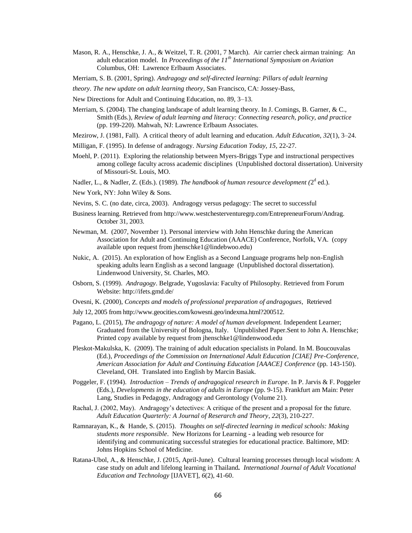- Mason, R. A., Henschke, J. A., & Weitzel, T. R. (2001, 7 March). Air carrier check airman training: An adult education model. In *Proceedings of the 11th International Symposium on Aviation* Columbus, OH: Lawrence Erlbaum Associates.
- Merriam, S. B. (2001, Spring). *Andragogy and self-directed learning: Pillars of adult learning*
- *theory*. *The new update on adult learning theory*, San Francisco, CA: Jossey-Bass,
- New Directions for Adult and Continuing Education, no. 89, 3–13.
- Merriam, S. (2004). The changing landscape of adult learning theory. In J. Comings, B. Garner, & C., Smith (Eds.), *Review of adult learning and literacy: Connecting research, policy, and practice* (pp. 199-220). Mahwah, NJ: Lawrence Erlbaum Associates.
- Mezirow, J. (1981, Fall). A critical theory of adult learning and education. *Adult Education*, *32*(1), 3–24.
- Milligan, F. (1995). In defense of andragogy. *Nursing Education Today, 15*, 22-27.
- Moehl, P. (2011). Exploring the relationship between Myers-Briggs Type and instructional perspectives among college faculty across academic disciplines (Unpublished doctoral dissertation). University of Missouri-St. Louis, MO.
- Nadler, L., & Nadler, Z. (Eds.). (1989). *The handbook of human resource development* (2<sup>d</sup> ed.).
- New York, NY: John Wiley & Sons.
- Nevins, S. C. (no date, circa, 2003). Andragogy versus pedagogy: The secret to successful
- Business learning. Retrieved fro[m http://www.westchesterventuregrp.com/EntrepreneurForum/Andrag.](http://www.westchesterventuregrp.com/EntrepreneurForum/Andrag) October 31, 2003.
- Newman, M. (2007, November 1). Personal interview with John Henschke during the American Association for Adult and Continuing Education (AAACE) Conference, Norfolk, VA. (copy available upon request from jhenschke1@lindebwoo.edu)
- Nukic, A. (2015). An exploration of how English as a Second Language programs help non-English speaking adults learn English as a second language (Unpublished doctoral dissertation). Lindenwood University, St. Charles, MO.
- Osborn, S. (1999). *Andragogy*. Belgrade, Yugoslavia: Faculty of Philosophy. Retrieved from Forum Website:<http://ifets.gmd.de/>
- Ovesni, K. (2000), *Concepts and models of professional preparation of andragogues*,Retrieved
- July 12, 2005 from [http://www.geocities.com/kowesni.geo/indexma.html?200512.](http://www.geocities.com/kowesni.geo/indexma.html?200512)
- Pagano, L. (2015), *The andragogy of nature: A model of human development*. Independent Learner; Graduated from the University of Bologna, Italy. Unpublished Paper.Sent to John A. Henschke; Printed copy available by request from jhenschke1@lindenwood.edu
- Pleskot-Makulska, K. (2009). The training of adult education specialists in Poland*.* In M. Boucouvalas (Ed.), *Proceedings of the Commission on International Adult Education [CIAE] Pre-Conference, American Association for Adult and Continuing Education [AAACE] Conference* (pp. 143-150). Cleveland, OH. Translated into English by Marcin Basiak.
- Poggeler, F. (1994). *Introduction – Trends of andragogical research in Europe*. In P. Jarvis & F. Poggeler (Eds.), *Developments in the education of adults in Europe* (pp. 9-15). Frankfurt am Main: Peter Lang, Studies in Pedagogy, Andragogy and Gerontology (Volume 21).
- Rachal, J. (2002, May). Andragogy's detectives: A critique of the present and a proposal for the future. *Adult Education Quarterly: A Journal of Reserarch and Theory*, *22*(3), 210-227.
- Ramnarayan, K., & Hande, S. (2015). *Thoughts on self-directed learning in medical schools: Making students more responsible*. New Horizons for Learning - a leading web resource for identifying and communicating successful strategies for educational practice. Baltimore, MD: Johns Hopkins School of Medicine.
- Ratana-Ubol, A., & Henschke, J. (2015, April-June).Cultural learning processes through local wisdom: A case study on adult and lifelong learning in Thailand*. International Journal of Adult Vocational Education and Technology* [IJAVET], *6*(2), 41-60.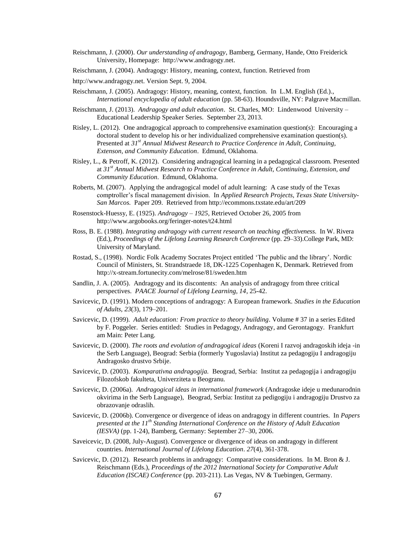Reischmann, J. (2000). *Our understanding of andragogy*, Bamberg, Germany, Hande, Otto Freiderick University, Homepage: [http://www.andragogy.net.](http://www.andragogy.net/)

Reischmann, J. (2004). Andragogy: History, meaning, context, function. Retrieved from

http://www.andragogy.net. Version Sept. 9, 2004.

- Reischmann, J. (2005). Andragogy: History, meaning, context, function. In L.M. English (Ed.)., *International encyclopedia of adult education* (pp. 58-63). Houndsville, NY: Palgrave Macmillan.
- Reischmann, J. (2013). *Andragogy and adult education*. St. Charles, MO: Lindenwood University Educational Leadership Speaker Series. September 23, 2013.
- Risley, L. (2012). One andragogical approach to comprehensive examination question(s): Encouraging a doctoral student to develop his or her individualized comprehensive examination question(s). Presented at *31st Annual Midwest Research to Practice Conference in Adult, Continuing, Extenson, and Community Education*. Edmund, Oklahoma.
- Risley, L., & Petroff, K. (2012). Considering andragogical learning in a pedagogical classroom. Presented at *31st Annual Midwest Research to Practice Conference in Adult, Continuing, Extension, and Community Education*. Edmund, Oklahoma.
- Roberts, M. (2007). Applying the andragogical model of adult learning: A case study of the Texas comptroller's fiscal management division. In *Applied Research Projects, Texas State University-San Marcos.* Paper 209. Retrieved from http://ecommons.txstate.edu/art/209
- Rosenstock-Huessy, E. (1925). *Andragogy – 1925*, Retrieved October 26, 2005 from <http://www.argobooks.org/feringer-notes/t24.html>
- Ross, B. E. (1988). *Integrating andragogy with current research on teaching effectiveness*. In W. Rivera (Ed.), *Proceedings of the Lifelong Learning Research Conference* (pp. 29–33).College Park, MD: University of Maryland.
- Rostad, S., (1998). Nordic Folk Academy Socrates Project entitled 'The public and the library'. Nordic Council of Ministers, St. Strandstraede 18, DK-1225 Copenhagen K, Denmark. Retrieved from <http://x-stream.fortunecity.com/melrose/81/sweden.htm>
- Sandlin, J. A. (2005). Andragogy and its discontents: An analysis of andragogy from three critical perspectives. *PAACE Journal of Lifelong Learning, 14*, 25-42.
- Savicevic, D. (1991). Modern conceptions of andragogy: A European framework. *Studies in the Education of Adults*, *23*(3), 179–201.
- Savicevic, D. (1999). *Adult education: From practice to theory building*. Volume # 37 in a series Edited by F. Poggeler. Series entitled: Studies in Pedagogy, Andragogy, and Gerontagogy. Frankfurt am Main: Peter Lang.
- Savicevic, D. (2000). *The roots and evolution of andragogical ideas* (Koreni I razvoj andragoskih ideja -in the Serb Language), Beograd: Serbia (formerly Yugoslavia) Institut za pedagogiju I andragogiju Andragosko drustvo Srbije.
- Savicevic, D. (2003). *Komparativna andragogija.* Beograd, Serbia: Institut za pedagogija i andragogiju Filozofskob fakulteta, Univerziteta u Beogranu.
- Savicevic, D. (2006a). *Andragogical ideas in international framework* (Andragoske ideje u medunarodnin okvirima in the Serb Language),Beograd, Serbia: Institut za pedigogiju i andragogiju Drustvo za obrazovanje odraslih.
- Savicevic, D. (2006b). Convergence or divergence of ideas on andragogy in different countries. In *Papers presented at the 11th Standing International Conference on the History of Adult Education (IESVA)* (pp. 1-24), Bamberg, Germany: September 27–30, 2006.
- Saveicevic, D. (2008, July-August). Convergence or divergence of ideas on andragogy in different countries. *International Journal of Lifelong Education*. *27*(4), 361-378.
- Savicevic, D. (2012). Research problems in andragogy: Comparative considerations. In M. Bron & J. Reischmann (Eds.), *Proceedings of the 2012 International Society for Comparative Adult Education (ISCAE) Conference* (pp. 203-211). Las Vegas, NV & Tuebingen, Germany.